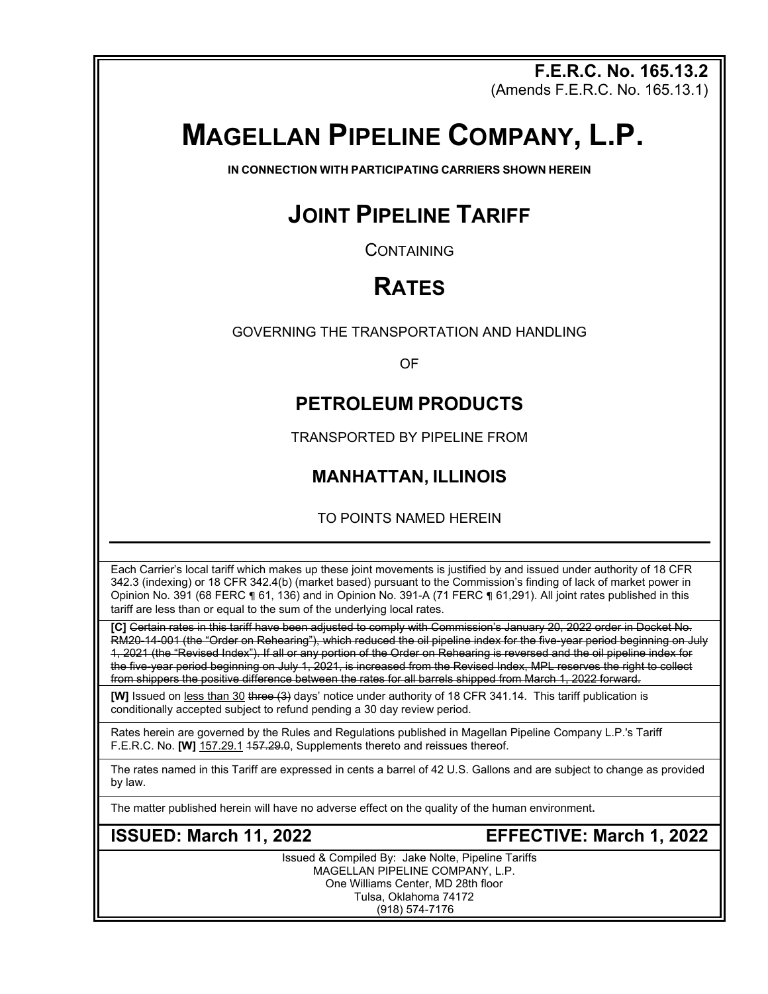**F.E.R.C. No. 165.13.2** (Amends F.E.R.C. No. 165.13.1)

# **MAGELLAN PIPELINE COMPANY, L.P.**

**IN CONNECTION WITH PARTICIPATING CARRIERS SHOWN HEREIN**

# **JOINT PIPELINE TARIFF**

**CONTAINING** 

# **RATES**

GOVERNING THE TRANSPORTATION AND HANDLING

OF

## **PETROLEUM PRODUCTS**

TRANSPORTED BY PIPELINE FROM

## **MANHATTAN, ILLINOIS**

TO POINTS NAMED HEREIN

Each Carrier's local tariff which makes up these joint movements is justified by and issued under authority of 18 CFR 342.3 (indexing) or 18 CFR 342.4(b) (market based) pursuant to the Commission's finding of lack of market power in Opinion No. 391 (68 FERC ¶ 61, 136) and in Opinion No. 391-A (71 FERC ¶ 61,291). All joint rates published in this tariff are less than or equal to the sum of the underlying local rates.

**[C]** Certain rates in this tariff have been adjusted to comply with Commission's January 20, 2022 order in Docket No. RM20-14-001 (the "Order on Rehearing"), which reduced the oil pipeline index for the five-year period beginning on July 1, 2021 (the "Revised Index"). If all or any portion of the Order on Rehearing is reversed and the oil pipeline index for the five-year period beginning on July 1, 2021, is increased from the Revised Index, MPL reserves the right to collect from shippers the positive difference between the rates for all barrels shipped from March 1, 2022 forward.

**[W]** Issued on less than 30 three (3) days' notice under authority of 18 CFR 341.14. This tariff publication is conditionally accepted subject to refund pending a 30 day review period.

Rates herein are governed by the Rules and Regulations published in Magellan Pipeline Company L.P.'s Tariff F.E.R.C. No. **[W]** 157.29.1 157.29.0, Supplements thereto and reissues thereof.

The rates named in this Tariff are expressed in cents a barrel of 42 U.S. Gallons and are subject to change as provided by law.

The matter published herein will have no adverse effect on the quality of the human environment**.**

## **ISSUED: March 11, 2022 EFFECTIVE: March 1, 2022**

Issued & Compiled By: Jake Nolte, Pipeline Tariffs MAGELLAN PIPELINE COMPANY, L.P. One Williams Center, MD 28th floor Tulsa, Oklahoma 74172 (918) 574-7176